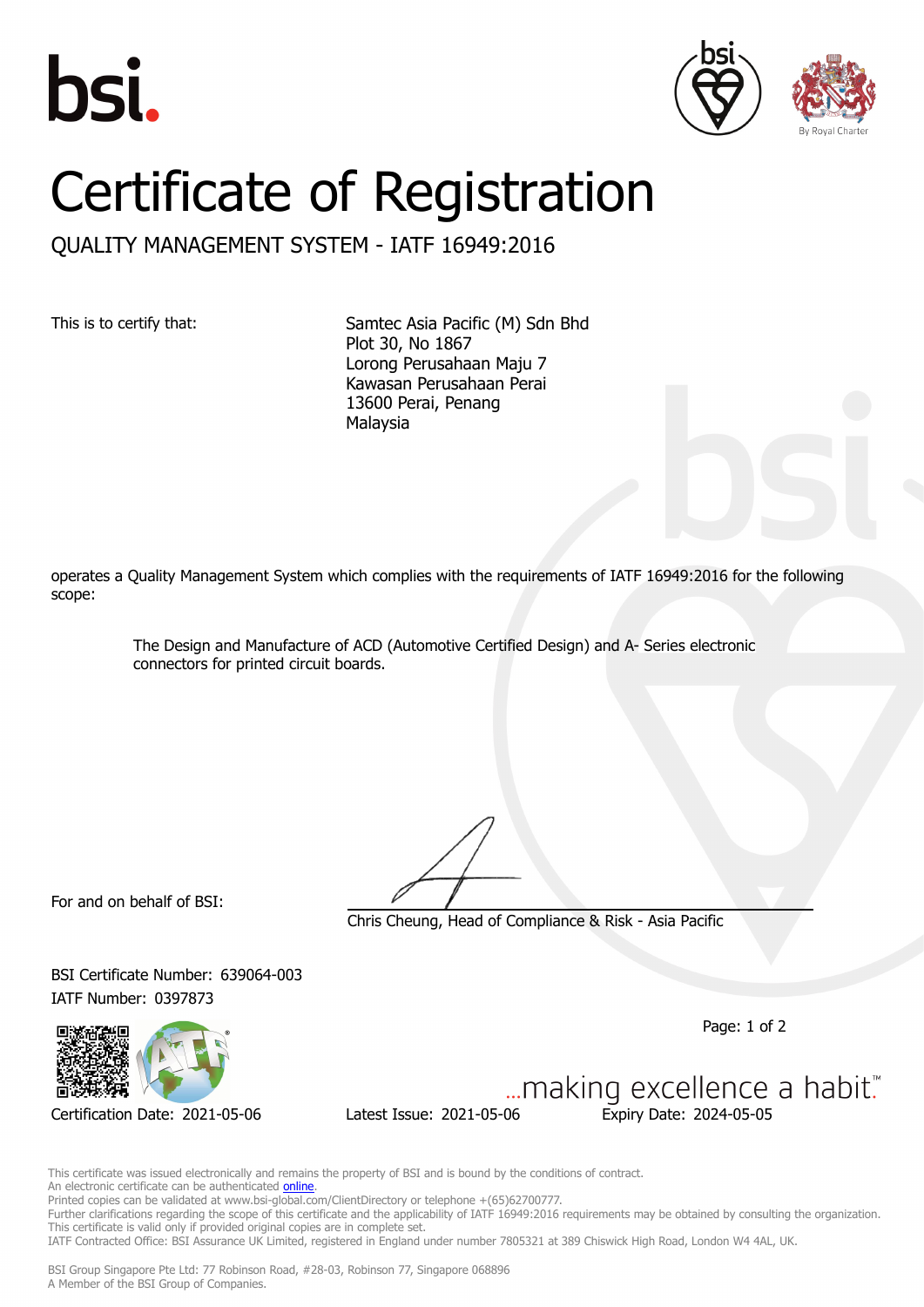





## Certificate of Registration

QUALITY MANAGEMENT SYSTEM - IATF 16949:2016

This is to certify that: Samtec Asia Pacific (M) Sdn Bhd Plot 30, No 1867 Lorong Perusahaan Maju 7 Kawasan Perusahaan Perai 13600 Perai, Penang Malaysia

operates a Quality Management System which complies with the requirements of IATF 16949:2016 for the following scope:

> The Design and Manufacture of ACD (Automotive Certified Design) and A- Series electronic connectors for printed circuit boards.

For and on behalf of BSI:

Chris Cheung, Head of Compliance & Risk - Asia Pacific

BSI Certificate Number: 639064-003 IATF Number: 0397873

Page: 1 of 2

... making excellence a habit." Certification Date: 2021-05-06 Latest Issue: 2021-05-06 Expiry Date: 2024-05-05

This certificate was issued electronically and remains the property of BSI and is bound by the conditions of contract. An electronic certificate can be authenticated **[online](https://pgplus.bsigroup.com/CertificateValidation/CertificateValidator.aspx?CertificateNumber=IATF+639064-003&ReIssueDate=06%2f05%2f2021&Template=sing_en)**. Printed copies can be validated at www.bsi-global.com/ClientDirectory or telephone +(65)62700777.

Further clarifications regarding the scope of this certificate and the applicability of IATF 16949:2016 requirements may be obtained by consulting the organization. This certificate is valid only if provided original copies are in complete set.

IATF Contracted Office: BSI Assurance UK Limited, registered in England under number 7805321 at 389 Chiswick High Road, London W4 4AL, UK.

BSI Group Singapore Pte Ltd: 77 Robinson Road, #28-03, Robinson 77, Singapore 068896 A Member of the BSI Group of Companies.